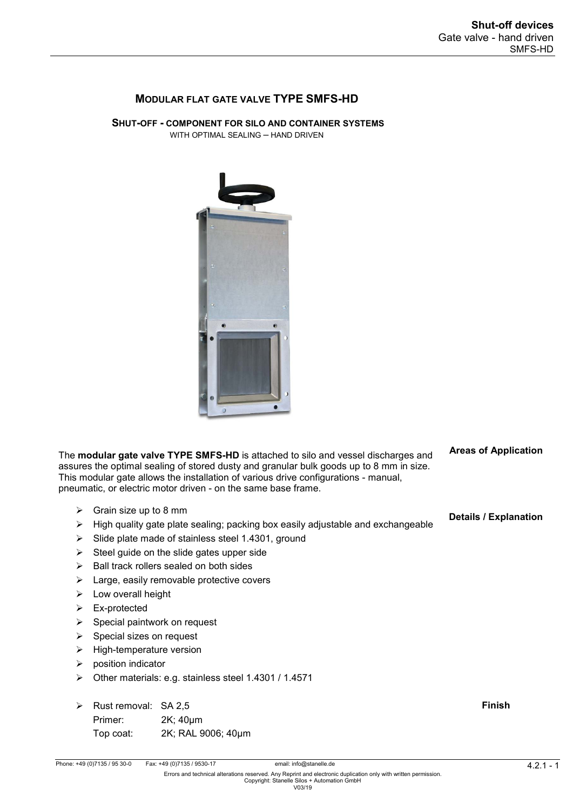# **MODULAR FLAT GATE VALVE TYPE SMFS-HD**

**SHUT-OFF - COMPONENT FOR SILO AND CONTAINER SYSTEMS** WITH OPTIMAL SEALING – HAND DRIVEN



The **modular gate valve TYPE SMFS-HD** is attached to silo and vessel discharges and assures the optimal sealing of stored dusty and granular bulk goods up to 8 mm in size. This modular gate allows the installation of various drive configurations - manual, pneumatic, or electric motor driven - on the same base frame. **Areas of Application** 

- $\triangleright$  Grain size up to 8 mm
- $\triangleright$  High quality gate plate sealing; packing box easily adjustable and exchangeable
- $\triangleright$  Slide plate made of stainless steel 1.4301, ground
- $\triangleright$  Steel guide on the slide gates upper side
- $\triangleright$  Ball track rollers sealed on both sides
- $\triangleright$  Large, easily removable protective covers
- > Low overall height
- Ex-protected
- $\triangleright$  Special paintwork on request
- $\triangleright$  Special sizes on request
- $\triangleright$  High-temperature version
- $\triangleright$  position indicator
- Other materials: e.g. stainless steel 1.4301 / 1.4571

| $\triangleright$ Rust removal: SA 2,5 |                    |  |  |
|---------------------------------------|--------------------|--|--|
| Primer:                               | 2K; 40um           |  |  |
| Top coat:                             | 2K; RAL 9006; 40µm |  |  |

**Details / Explanation** 

**Finish**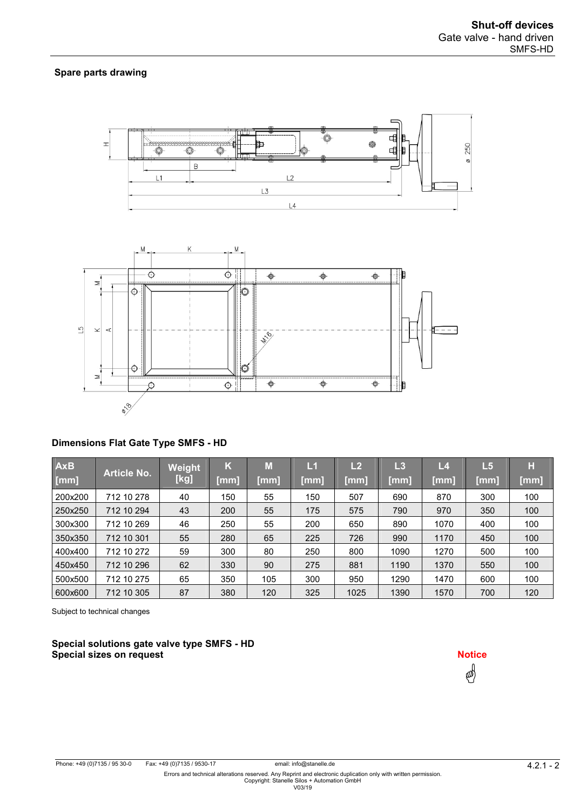#### **Spare parts drawing**



#### **Dimensions Flat Gate Type SMFS - HD**

| <b>AxB</b><br>[mm] | <b>Article No.</b> | Weight<br>[kg] | K<br>[mm] | M<br>[mm] | L1<br>[mm] | L2<br>[mm] | L3<br>[mm] | L <sub>4</sub><br>[mm] | L5<br>[mm] | н<br>[mm] |
|--------------------|--------------------|----------------|-----------|-----------|------------|------------|------------|------------------------|------------|-----------|
| 200x200            | 712 10 278         | 40             | 150       | 55        | 150        | 507        | 690        | 870                    | 300        | 100       |
| 250x250            | 712 10 294         | 43             | 200       | 55        | 175        | 575        | 790        | 970                    | 350        | 100       |
| 300x300            | 712 10 269         | 46             | 250       | 55        | 200        | 650        | 890        | 1070                   | 400        | 100       |
| 350x350            | 712 10 301         | 55             | 280       | 65        | 225        | 726        | 990        | 1170                   | 450        | 100       |
| 400x400            | 712 10 272         | 59             | 300       | 80        | 250        | 800        | 1090       | 1270                   | 500        | 100       |
| 450x450            | 712 10 296         | 62             | 330       | 90        | 275        | 881        | 1190       | 1370                   | 550        | 100       |
| 500x500            | 712 10 275         | 65             | 350       | 105       | 300        | 950        | 1290       | 1470                   | 600        | 100       |
| 600x600            | 712 10 305         | 87             | 380       | 120       | 325        | 1025       | 1390       | 1570                   | 700        | 120       |

Subject to technical changes

#### **Special solutions gate valve type SMFS - HD Special sizes on request** and the state of the state  $\overline{\phantom{a}}$  **Notice Notice**

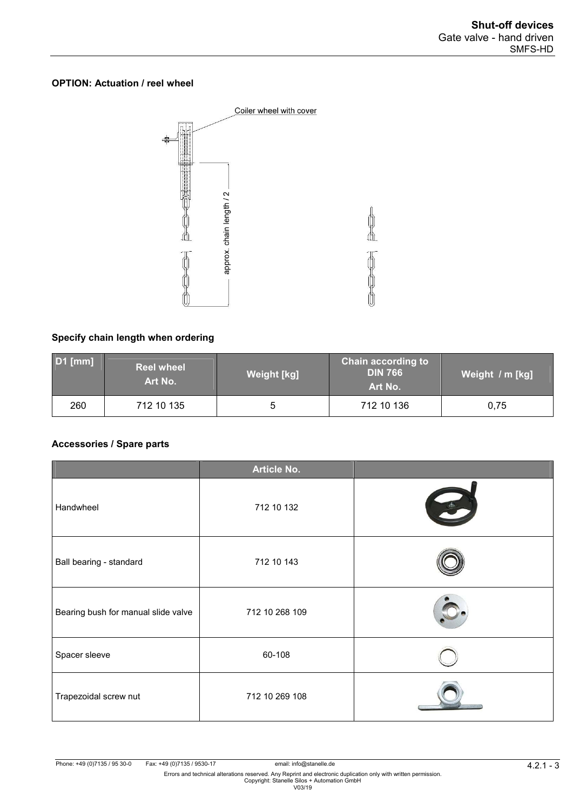# **OPTION: Actuation / reel wheel**



# **Specify chain length when ordering**

| $D1$ [mm] | <b>Reel wheel</b><br>Art No. | <b>Weight [kg]</b> | Chain according to<br><b>DIN 766</b><br>Art No. | Weight / m [kg] |
|-----------|------------------------------|--------------------|-------------------------------------------------|-----------------|
| 260       | 712 10 135                   |                    | 712 10 136                                      | 0,75            |

# **Accessories / Spare parts**

|                                     | <b>Article No.</b> |                |
|-------------------------------------|--------------------|----------------|
| Handwheel                           | 712 10 132         | $\frac{d}{dt}$ |
| Ball bearing - standard             | 712 10 143         |                |
| Bearing bush for manual slide valve | 712 10 268 109     |                |
| Spacer sleeve                       | 60-108             |                |
| Trapezoidal screw nut               | 712 10 269 108     |                |

email: info@stanelle.de و milit info@stanelle.de و Phone: +49 (0)7135 / 95 30-0 Fax: +49 (0)7135 / 9530-17<br>Errors and technical alterations reserved. Any Reprint and electronic duplication only with written permission<br>Cop V03/19